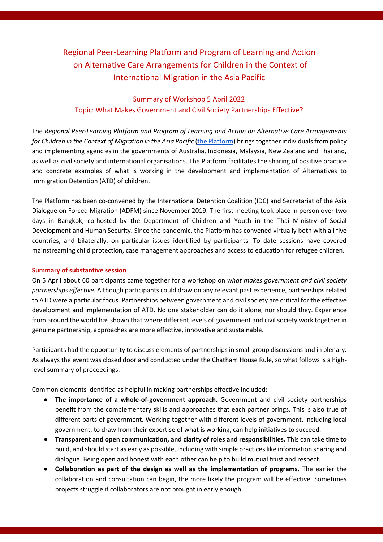# Regional Peer-Learning Platform and Program of Learning and Action on Alternative Care Arrangements for Children in the Context of International Migration in the Asia Pacific

#### Summary of Workshop 5 April 2022

### Topic: What Makes Government and Civil Society Partnerships Effective?

The *Regional Peer-Learning Platform and Program of Learning and Action on Alternative Care Arrangements for Children in the Context of Migration in the Asia Pacific* (the Platform) brings together individuals from policy and implementing agencies in the governments of Australia, Indonesia, Malaysia, New Zealand and Thailand, as well as civil society and international organisations. The Platform facilitates the sharing of positive practice and concrete examples of what is working in the development and implementation of Alternatives to Immigration Detention (ATD) of children.

The Platform has been co-convened by the International Detention Coalition (IDC) and Secretariat of the Asia Dialogue on Forced Migration (ADFM) since November 2019. The first meeting took place in person over two days in Bangkok, co-hosted by the Department of Children and Youth in the Thai Ministry of Social Development and Human Security. Since the pandemic, the Platform has convened virtually both with all five countries, and bilaterally, on particular issues identified by participants. To date sessions have covered mainstreaming child protection, case management approaches and access to education for refugee children.

#### **Summary of substantive session**

On 5 April about 60 participants came together for a workshop on *what makes government and civil society partnerships effective.* Although participants could draw on any relevant past experience, partnerships related to ATD were a particular focus. Partnerships between government and civil society are critical for the effective development and implementation of ATD. No one stakeholder can do it alone, nor should they. Experience from around the world has shown that where different levels of government and civil society work together in genuine partnership, approaches are more effective, innovative and sustainable.

Participants had the opportunity to discuss elements of partnerships in small group discussions and in plenary. As always the event was closed door and conducted under the Chatham House Rule, so what follows is a highlevel summary of proceedings.

Common elements identified as helpful in making partnerships effective included:

- The importance of a whole-of-government approach. Government and civil society partnerships benefit from the complementary skills and approaches that each partner brings. This is also true of different parts of government. Working together with different levels of government, including local government, to draw from their expertise of what is working, can help initiatives to succeed.
- **Transparent and open communication, and clarity of roles and responsibilities.** This can take time to build, and should start as early as possible, including with simple practices like information sharing and dialogue. Being open and honest with each other can help to build mutual trust and respect.
- **Collaboration as part of the design as well as the implementation of programs.** The earlier the collaboration and consultation can begin, the more likely the program will be effective. Sometimes projects struggle if collaborators are not brought in early enough.